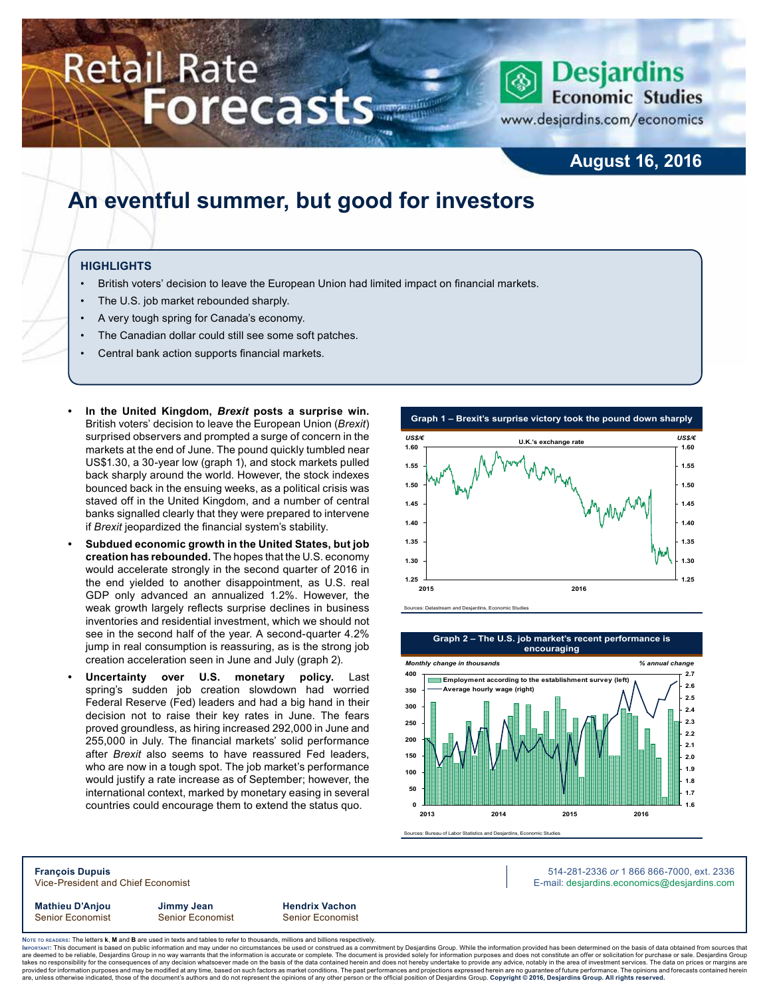# Retail Rate **Forecasts**



www.desjardins.com/economics

## **August 16, 2016**

## **An eventful summer, but good for investors**

### **HIGHLIGHTS**

- British voters' decision to leave the European Union had limited impact on financial markets.
- The U.S. job market rebounded sharply.
- A very tough spring for Canada's economy.
- The Canadian dollar could still see some soft patches.
- Central bank action supports financial markets.
- **• In the United Kingdom,** *Brexit* **posts a surprise win.**  British voters' decision to leave the European Union (*Brexit*) surprised observers and prompted a surge of concern in the markets at the end of June. The pound quickly tumbled near US\$1.30, a 30-year low (graph 1), and stock markets pulled back sharply around the world. However, the stock indexes bounced back in the ensuing weeks, as a political crisis was staved off in the United Kingdom, and a number of central banks signalled clearly that they were prepared to intervene if *Brexit* jeopardized the financial system's stability.
- **• Subdued economic growth in the United States, but job creation has rebounded.** The hopes that the U.S. economy would accelerate strongly in the second quarter of 2016 in the end yielded to another disappointment, as U.S. real GDP only advanced an annualized 1.2%. However, the weak growth largely reflects surprise declines in business inventories and residential investment, which we should not see in the second half of the year. A second-quarter 4.2% jump in real consumption is reassuring, as is the strong job creation acceleration seen in June and July (graph 2).
- **• Uncertainty over U.S. monetary policy.** Last spring's sudden job creation slowdown had worried Federal Reserve (Fed) leaders and had a big hand in their decision not to raise their key rates in June. The fears proved groundless, as hiring increased 292,000 in June and 255,000 in July. The financial markets' solid performance after *Brexit* also seems to have reassured Fed leaders, who are now in a tough spot. The job market's performance would justify a rate increase as of September; however, the international context, marked by monetary easing in several countries could encourage them to extend the status quo.





Sources: Bureau of Labor Statistics and Desjardins, Economic Studies

**François Dupuis** 514-281-2336 *or* 1 866 866-7000, ext. 2336 Vice-President and Chief Economist **E-mail: designediate and Chief Economist** E-mail: designediate economics@desjardins.com

**Mathieu D'Anjou Jimmy Jean Hendrix Vachon** Senior Economist Senior Economist Senior Economist

Noте то келоекs: The letters **k, M** and **B** are used in texts and tables to refer to thousands, millions and billions respectively.<br>Імроктлит: This document is based on public information and may under no circumstances be are deemed to be reliable. Desiardins Group in no way warrants that the information is accurate or complete. The document is provided solely for information purposes and does not constitute an offer or solicitation for pur takes no responsibility for the consequences of any decision whatsoever made on the basis of the data contained herein and does not hereby undertake to provide any advice, notably in the area of investment services. The da .<br>are, unless otherwise indicated, those of the document's authors and do not represent the opinions of any other person or the official position of Desjardins Group. Copyright @ 2016, Desjardins Group. All rights reserved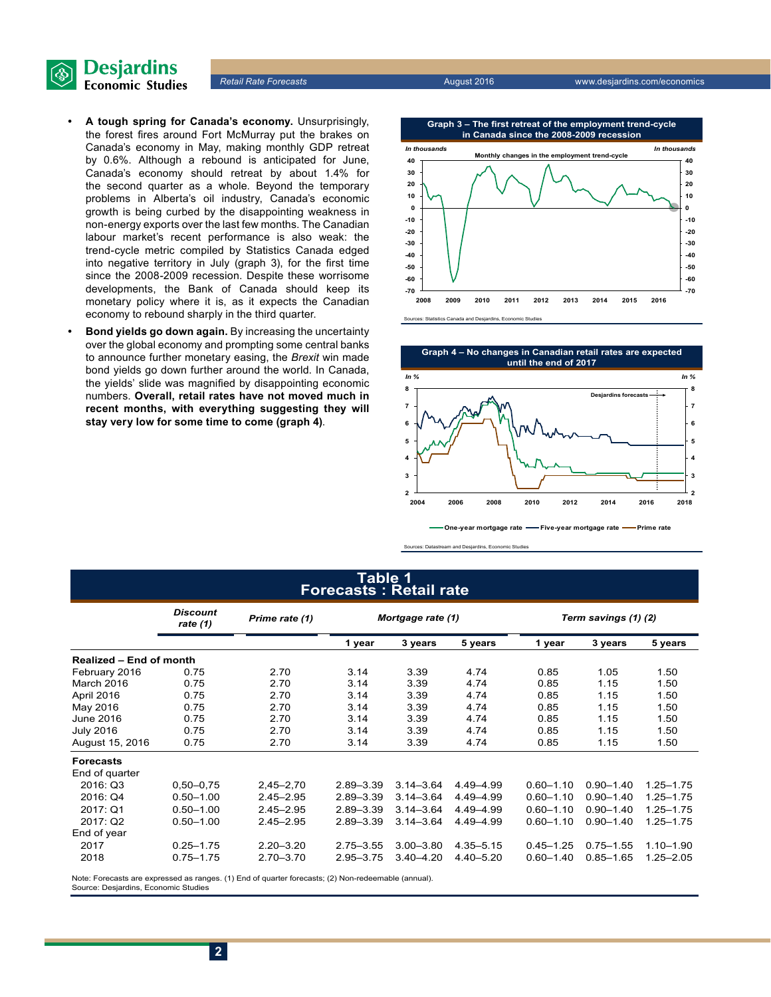

- **• A tough spring for Canada's economy.** Unsurprisingly, the forest fires around Fort McMurray put the brakes on Canada's economy in May, making monthly GDP retreat by 0.6%. Although a rebound is anticipated for June, Canada's economy should retreat by about 1.4% for the second quarter as a whole. Beyond the temporary problems in Alberta's oil industry, Canada's economic growth is being curbed by the disappointing weakness in non-energy exports over the last few months. The Canadian labour market's recent performance is also weak: the trend-cycle metric compiled by Statistics Canada edged into negative territory in July (graph 3), for the first time since the 2008-2009 recession. Despite these worrisome developments, the Bank of Canada should keep its monetary policy where it is, as it expects the Canadian economy to rebound sharply in the third quarter.
- **• Bond yields go down again.** By increasing the uncertainty over the global economy and prompting some central banks to announce further monetary easing, the *Brexit* win made bond yields go down further around the world. In Canada, the yields' slide was magnified by disappointing economic numbers. **Overall, retail rates have not moved much in recent months, with everything suggesting they will stay very low for some time to come (graph 4)**.





**One-year mortgage rate Five-year mortgage rate Prime rate**

Sources: Datastream and Desjardins, Economic Studies

#### **Table 1 Forecasts : Retail rate**

|                                | <b>Discount</b><br>Prime rate (1)<br>rate $(1)$ |               | Mortgage rate (1) |               |               | Term savings (1) (2) |               |               |  |
|--------------------------------|-------------------------------------------------|---------------|-------------------|---------------|---------------|----------------------|---------------|---------------|--|
|                                |                                                 |               | 1 year            | 3 years       | 5 years       | 1 year               | 3 years       | 5 years       |  |
| <b>Realized - End of month</b> |                                                 |               |                   |               |               |                      |               |               |  |
| February 2016                  | 0.75                                            | 2.70          | 3.14              | 3.39          | 4.74          | 0.85                 | 1.05          | 1.50          |  |
| March 2016                     | 0.75                                            | 2.70          | 3.14              | 3.39          | 4.74          | 0.85                 | 1.15          | 1.50          |  |
| April 2016                     | 0.75                                            | 2.70          | 3.14              | 3.39          | 4.74          | 0.85                 | 1.15          | 1.50          |  |
| May 2016                       | 0.75                                            | 2.70          | 3.14              | 3.39          | 4.74          | 0.85                 | 1.15          | 1.50          |  |
| June 2016                      | 0.75                                            | 2.70          | 3.14              | 3.39          | 4.74          | 0.85                 | 1.15          | 1.50          |  |
| <b>July 2016</b>               | 0.75                                            | 2.70          | 3.14              | 3.39          | 4.74          | 0.85                 | 1.15          | 1.50          |  |
| August 15, 2016                | 0.75                                            | 2.70          | 3.14              | 3.39          | 4.74          | 0.85                 | 1.15          | 1.50          |  |
| <b>Forecasts</b>               |                                                 |               |                   |               |               |                      |               |               |  |
| End of quarter                 |                                                 |               |                   |               |               |                      |               |               |  |
| 2016: Q3                       | $0,50 - 0,75$                                   | $2,45 - 2,70$ | $2.89 - 3.39$     | $3.14 - 3.64$ | 4.49-4.99     | $0.60 - 1.10$        | $0.90 - 1.40$ | 1.25-1.75     |  |
| 2016: Q4                       | $0.50 - 1.00$                                   | $2.45 - 2.95$ | $2.89 - 3.39$     | $3.14 - 3.64$ | 4.49-4.99     | $0.60 - 1.10$        | $0.90 - 1.40$ | $1.25 - 1.75$ |  |
| 2017: Q1                       | $0.50 - 1.00$                                   | $2.45 - 2.95$ | $2.89 - 3.39$     | $3.14 - 3.64$ | 4.49 - 4.99   | $0.60 - 1.10$        | $0.90 - 1.40$ | $1.25 - 1.75$ |  |
| 2017: Q2                       | $0.50 - 1.00$                                   | $2.45 - 2.95$ | $2.89 - 3.39$     | $3.14 - 3.64$ | 4.49 - 4.99   | $0.60 - 1.10$        | $0.90 - 1.40$ | $1.25 - 1.75$ |  |
| End of year                    |                                                 |               |                   |               |               |                      |               |               |  |
| 2017                           | $0.25 - 1.75$                                   | $2.20 - 3.20$ | $2.75 - 3.55$     | $3.00 - 3.80$ | $4.35 - 5.15$ | $0.45 - 1.25$        | $0.75 - 1.55$ | $1.10 - 1.90$ |  |
| 2018                           | $0.75 - 1.75$                                   | $2.70 - 3.70$ | $2.95 - 3.75$     | $3.40 - 4.20$ | $4.40 - 5.20$ | $0.60 - 1.40$        | $0.85 - 1.65$ | $1.25 - 2.05$ |  |

Note: Forecasts are expressed as ranges. (1) End of quarter forecasts; (2) Non-redeemable (annual). Source: Desjardins, Economic Studies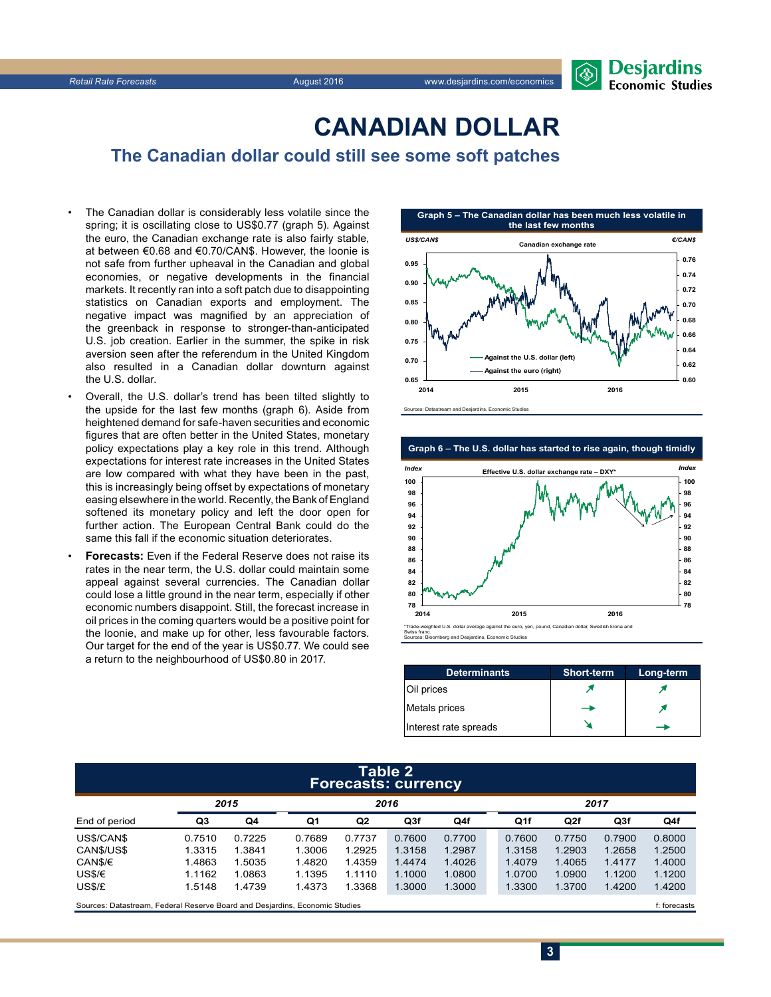

## **CANADIAN DOLLAR**

**The Canadian dollar could still see some soft patches** 

- The Canadian dollar is considerably less volatile since the spring; it is oscillating close to US\$0.77 (graph 5). Against the euro, the Canadian exchange rate is also fairly stable, at between €0.68 and €0.70/CAN\$. However, the loonie is not safe from further upheaval in the Canadian and global economies, or negative developments in the financial markets. It recently ran into a soft patch due to disappointing statistics on Canadian exports and employment. The negative impact was magnified by an appreciation of the greenback in response to stronger-than-anticipated U.S. job creation. Earlier in the summer, the spike in risk aversion seen after the referendum in the United Kingdom also resulted in a Canadian dollar downturn against the U.S. dollar.
- Overall, the U.S. dollar's trend has been tilted slightly to the upside for the last few months (graph 6). Aside from heightened demand for safe-haven securities and economic figures that are often better in the United States, monetary policy expectations play a key role in this trend. Although expectations for interest rate increases in the United States are low compared with what they have been in the past, this is increasingly being offset by expectations of monetary easing elsewhere in the world. Recently, the Bank of England softened its monetary policy and left the door open for further action. The European Central Bank could do the same this fall if the economic situation deteriorates.
- **Forecasts:** Even if the Federal Reserve does not raise its rates in the near term, the U.S. dollar could maintain some appeal against several currencies. The Canadian dollar could lose a little ground in the near term, especially if other economic numbers disappoint. Still, the forecast increase in oil prices in the coming quarters would be a positive point for the loonie, and make up for other, less favourable factors. Our target for the end of the year is US\$0.77. We could see a return to the neighbourhood of US\$0.80 in 2017.



Sources: Datastream and Desjardins, Economic Studies

**Graph 6 – The U.S. dollar has started to rise again, though timidly**



ainst the euro, yen, pound, Canadian dollar, Swedish krona and Swiss franc. Sources: Bloomberg and Desjardins, Economic Studies

| <b>Determinants</b>   | <b>Short-term</b> | Long-term |
|-----------------------|-------------------|-----------|
| Oil prices            |                   |           |
| Metals prices         |                   |           |
| Interest rate spreads |                   |           |

#### **Table 2 Forecasts: currency**

|                                                                             | 2015   |        | 2016   |                |        |        |  | 2017   |              |                 |        |
|-----------------------------------------------------------------------------|--------|--------|--------|----------------|--------|--------|--|--------|--------------|-----------------|--------|
| End of period                                                               | Q3     | Q4     | Q1     | Q <sub>2</sub> | Q3f    | Q4f    |  | Q1f    | Q2f          | Q <sub>3f</sub> | Q4f    |
| US\$/CAN\$                                                                  | 0.7510 | 0.7225 | 0.7689 | 0.7737         | 0.7600 | 0.7700 |  | 0.7600 | 0.7750       | 0.7900          | 0.8000 |
| CANS/USS                                                                    | 1.3315 | 1.3841 | 1.3006 | 1.2925         | 1.3158 | 1.2987 |  | 1.3158 | 1.2903       | 1.2658          | 1.2500 |
| CAN\$/€                                                                     | 1.4863 | 1.5035 | 1.4820 | 1.4359         | 1.4474 | 1.4026 |  | 1.4079 | 1.4065       | 1.4177          | 1.4000 |
| USS/E                                                                       | 1.1162 | 1.0863 | 1.1395 | 1.1110         | 1.1000 | 1.0800 |  | 1.0700 | 1.0900       | 1.1200          | 1.1200 |
| US\$/£                                                                      | 1.5148 | 1.4739 | 1.4373 | 1.3368         | 1.3000 | 1.3000 |  | 1.3300 | 1.3700       | 1.4200          | 1.4200 |
| Sources: Datastream, Federal Reserve Board and Desjardins, Economic Studies |        |        |        |                |        |        |  |        | f: forecasts |                 |        |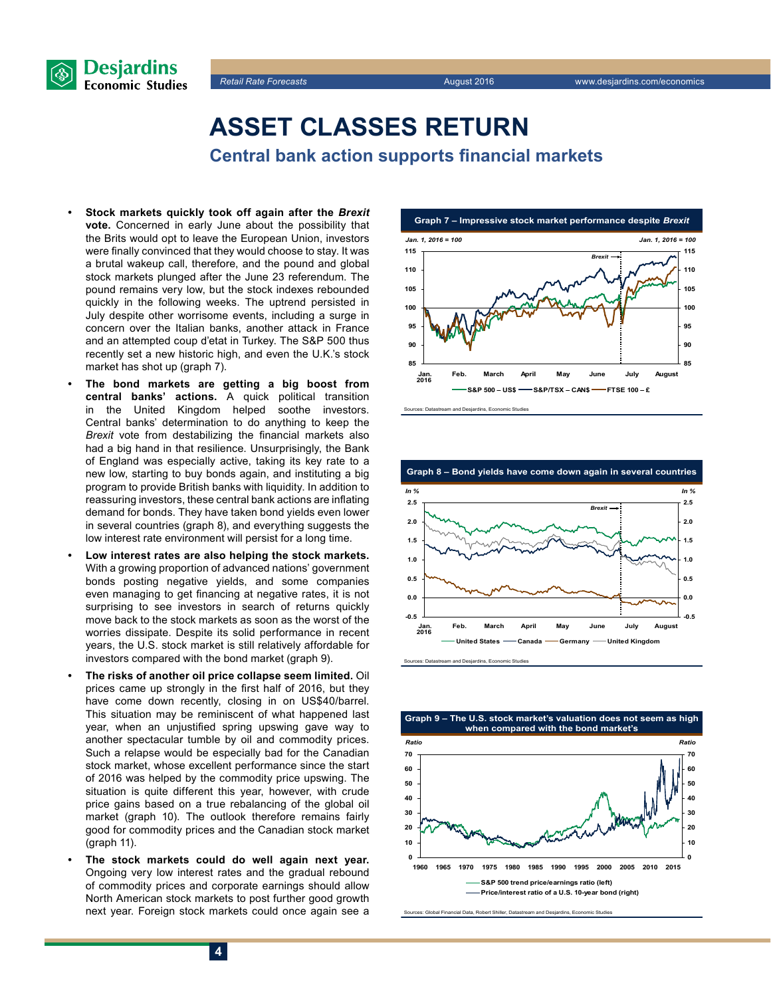



## **ASSET CLASSES RETURN**

**Central bank action supports financial markets**

- **• Stock markets quickly took off again after the** *Brexit* **vote.** Concerned in early June about the possibility that the Brits would opt to leave the European Union, investors were finally convinced that they would choose to stay. It was a brutal wakeup call, therefore, and the pound and global stock markets plunged after the June 23 referendum. The pound remains very low, but the stock indexes rebounded quickly in the following weeks. The uptrend persisted in July despite other worrisome events, including a surge in concern over the Italian banks, another attack in France and an attempted coup d'etat in Turkey. The S&P 500 thus recently set a new historic high, and even the U.K.'s stock market has shot up (graph 7).
- **• The bond markets are getting a big boost from central banks' actions.** A quick political transition in the United Kingdom helped soothe investors. Central banks' determination to do anything to keep the *Brexit* vote from destabilizing the financial markets also had a big hand in that resilience. Unsurprisingly, the Bank of England was especially active, taking its key rate to a new low, starting to buy bonds again, and instituting a big program to provide British banks with liquidity. In addition to reassuring investors, these central bank actions are inflating demand for bonds. They have taken bond yields even lower in several countries (graph 8), and everything suggests the low interest rate environment will persist for a long time.
- **• Low interest rates are also helping the stock markets.**  With a growing proportion of advanced nations' government bonds posting negative yields, and some companies even managing to get financing at negative rates, it is not surprising to see investors in search of returns quickly move back to the stock markets as soon as the worst of the worries dissipate. Despite its solid performance in recent years, the U.S. stock market is still relatively affordable for investors compared with the bond market (graph 9).
- **• The risks of another oil price collapse seem limited.** Oil prices came up strongly in the first half of 2016, but they have come down recently, closing in on US\$40/barrel. This situation may be reminiscent of what happened last year, when an unjustified spring upswing gave way to another spectacular tumble by oil and commodity prices. Such a relapse would be especially bad for the Canadian stock market, whose excellent performance since the start of 2016 was helped by the commodity price upswing. The situation is quite different this year, however, with crude price gains based on a true rebalancing of the global oil market (graph 10). The outlook therefore remains fairly good for commodity prices and the Canadian stock market (graph 11).
- **• The stock markets could do well again next year.** Ongoing very low interest rates and the gradual rebound of commodity prices and corporate earnings should allow North American stock markets to post further good growth next year. Foreign stock markets could once again see a





Sources: Datastream and Desjardins, Economic Studies